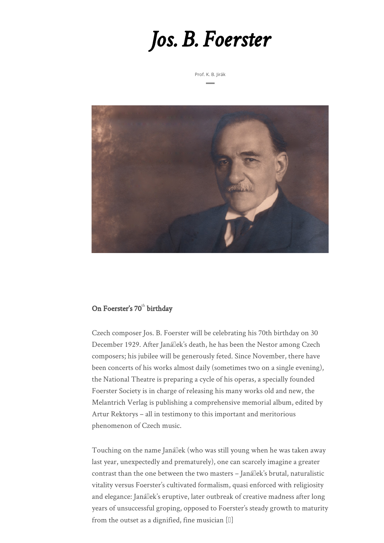## *Jos. B. Foerster*

Prof. K. B. Jirák



## On Foerster's 70<sup>th</sup> birthday

Czech composer Jos. B. Foerster will be celebrating his 70th birthday on 30 December 1929. After Janállek's death, he has been the Nestor among Czech composers; his jubilee will be generously feted. Since November, there have been concerts of his works almost daily (sometimes two on a single evening), the National Theatre is preparing a cycle of his operas, a specially founded Foerster Society is in charge of releasing his many works old and new, the Melantrich Verlag is publishing a comprehensive memorial album, edited by Artur Rektorys – all in testimony to this important and meritorious phenomenon of Czech music.

Touching on the name Janállek (who was still young when he was taken away last year, unexpectedly and prematurely), one can scarcely imagine a greater contrast than the one between the two masters - Janállek's brutal, naturalistic vitality versus Foerster's cultivated formalism, quasi enforced with religiosity and elegance: Janállek's eruptive, later outbreak of creative madness after long years of unsuccessful groping, opposed to Foerster's steady growth to maturity from the outset as a dignified, fine musician  $[\mathbb{I}]$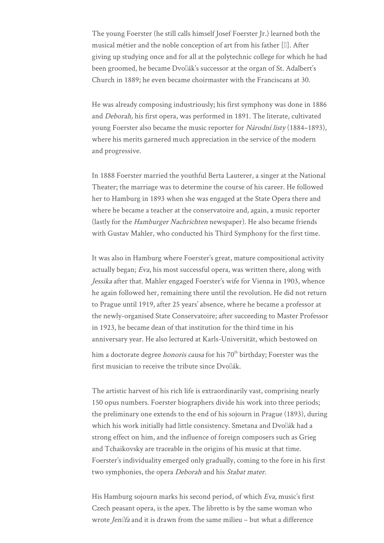The young Foerster (he still calls himself Josef Foerster Jr.) learned both the musical métier and the noble conception of art from his father  $[1]$ . After giving up studying once and for all at the polytechnic college for which he had been groomed, he became Dvo<sup>[[2]</sup> also successor at the organ of St. Adalbert's Church in 1889; he even became choirmaster with the Franciscans at 30.

He was already composing industriously; his first symphony was done in 1886 and Deborah, his first opera, was performed in 1891. The literate, cultivated young Foerster also became the music reporter for Národní listy (1884–1893), where his merits garnered much appreciation in the service of the modern and progressive.

In 1888 Foerster married the youthful Berta Lauterer, a singer at the National Theater; the marriage was to determine the course of his career. He followed her to Hamburg in 1893 when she was engaged at the State Opera there and where he became a teacher at the conservatoire and, again, a music reporter (lastly for the Hamburger Nachrichten newspaper). He also became friends with Gustav Mahler, who conducted his Third Symphony for the first time.

It was also in Hamburg where Foerster's great, mature compositional activity actually began; Eva, his most successful opera, was written there, along with Jessika after that. Mahler engaged Foerster's wife for Vienna in 1903, whence he again followed her, remaining there until the revolution. He did not return to Prague until 1919, after 25 years' absence, where he became a professor at the newly-organised State Conservatoire; after succeeding to Master Professor in 1923, he became dean of that institution for the third time in his anniversary year. He also lectured at Karls-Universität, which bestowed on him a doctorate degree *honoris causa* for his  $70<sup>th</sup>$  birthday; Foerster was the first musician to receive the tribute since Dvollák.

The artistic harvest of his rich life is extraordinarily vast, comprising nearly 150 opus numbers. Foerster biographers divide his work into three periods; the preliminary one extends to the end of his sojourn in Prague (1893), during which his work initially had little consistency. Smetana and Dvollák had a strong effect on him, and the influence of foreign composers such as Grieg and Tchaikovsky are traceable in the origins of his music at that time. Foerster's individuality emerged only gradually, coming to the fore in his first two symphonies, the opera *Deborah* and his *Stabat mater*.

His Hamburg sojourn marks his second period, of which Eva, music's first Czech peasant opera, is the apex. The libretto is by the same woman who wrote *Jenllfa* and it is drawn from the same milieu - but what a difference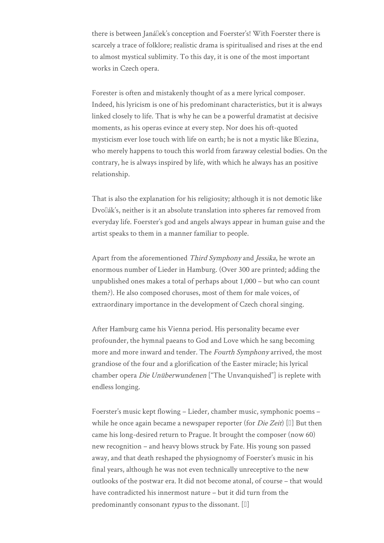there is between Janállek's conception and Foerster's! With Foerster there is scarcely a trace of folklore; realistic drama is spiritualised and rises at the end to almost mystical sublimity. To this day, it is one of the most important works in Czech opera.

Forester is often and mistakenly thought of as a mere lyrical composer. Indeed, his lyricism is one of his predominant characteristics, but it is always linked closely to life. That is why he can be a powerful dramatist at decisive moments, as his operas evince at every step. Nor does his oft-quoted mysticism ever lose touch with life on earth; he is not a mystic like Bllezina, who merely happens to touch this world from faraway celestial bodies. On the contrary, he is always inspired by life, with which he always has an positive relationship.

That is also the explanation for his religiosity; although it is not demotic like Dvollák's, neither is it an absolute translation into spheres far removed from everyday life. Foerster's god and angels always appear in human guise and the artist speaks to them in a manner familiar to people.

Apart from the aforementioned Third Symphony and Jessika, he wrote an enormous number of Lieder in Hamburg. (Over 300 are printed; adding the unpublished ones makes a total of perhaps about 1,000 – but who can count them?). He also composed choruses, most of them for male voices, of extraordinary importance in the development of Czech choral singing.

After Hamburg came his Vienna period. His personality became ever profounder, the hymnal paeans to God and Love which he sang becoming more and more inward and tender. The Fourth Symphony arrived, the most grandiose of the four and a glorification of the Easter miracle; his lyrical chamber opera *Die Unüberwundenen* ["The Unvanquished"] is replete with endless longing.

Foerster's music kept flowing – Lieder, chamber music, symphonic poems – while he once again became a newspaper reporter (for *Die Zeit*) [ $\Box$ ] But then came his long-desired return to Prague. It brought the composer (now 60) new recognition – and heavy blows struck by Fate. His young son passed away, and that death reshaped the physiognomy of Foerster's music in his final years, although he was not even technically unreceptive to the new outlooks of the postwar era. It did not become atonal, of course – that would have contradicted his innermost nature – but it did turn from the predominantly consonant *typus* to the dissonant.  $[\mathbb{I}]$